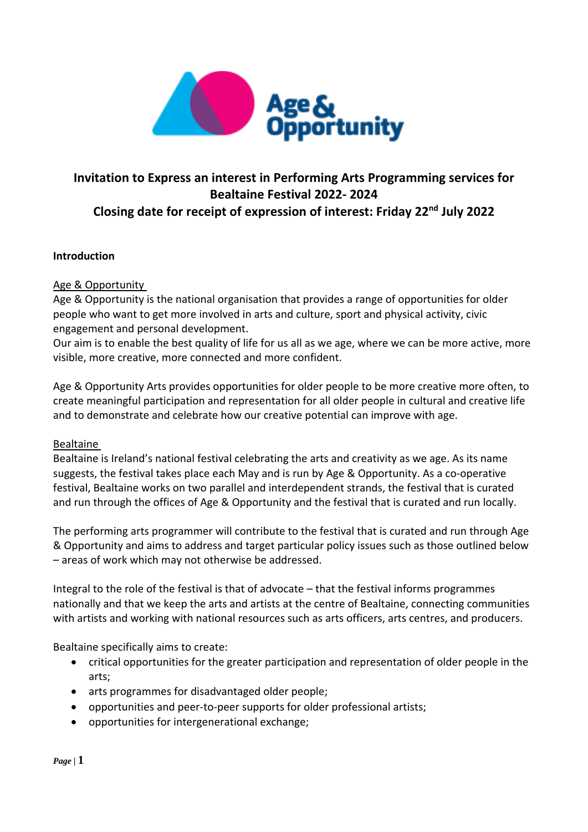

# **Invitation to Express an interest in Performing Arts Programming services for Bealtaine Festival 2022- 2024 Closing date for receipt of expression of interest: Friday 22nd July 2022**

## **Introduction**

## Age & Opportunity

Age & Opportunity is the national organisation that provides a range of opportunities for older people who want to get more involved in arts and culture, sport and physical activity, civic engagement and personal development.

Our aim is to enable the best quality of life for us all as we age, where we can be more active, more visible, more creative, more connected and more confident.

Age & Opportunity Arts provides opportunities for older people to be more creative more often, to create meaningful participation and representation for all older people in cultural and creative life and to demonstrate and celebrate how our creative potential can improve with age.

#### Bealtaine

Bealtaine is Ireland's national festival celebrating the arts and creativity as we age. As its name suggests, the festival takes place each May and is run by Age & Opportunity. As a co-operative festival, Bealtaine works on two parallel and interdependent strands, the festival that is curated and run through the offices of Age & Opportunity and the festival that is curated and run locally.

The performing arts programmer will contribute to the festival that is curated and run through Age & Opportunity and aims to address and target particular policy issues such as those outlined below – areas of work which may not otherwise be addressed.

Integral to the role of the festival is that of advocate – that the festival informs programmes nationally and that we keep the arts and artists at the centre of Bealtaine, connecting communities with artists and working with national resources such as arts officers, arts centres, and producers.

Bealtaine specifically aims to create:

- critical opportunities for the greater participation and representation of older people in the arts;
- arts programmes for disadvantaged older people;
- opportunities and peer-to-peer supports for older professional artists;
- opportunities for intergenerational exchange;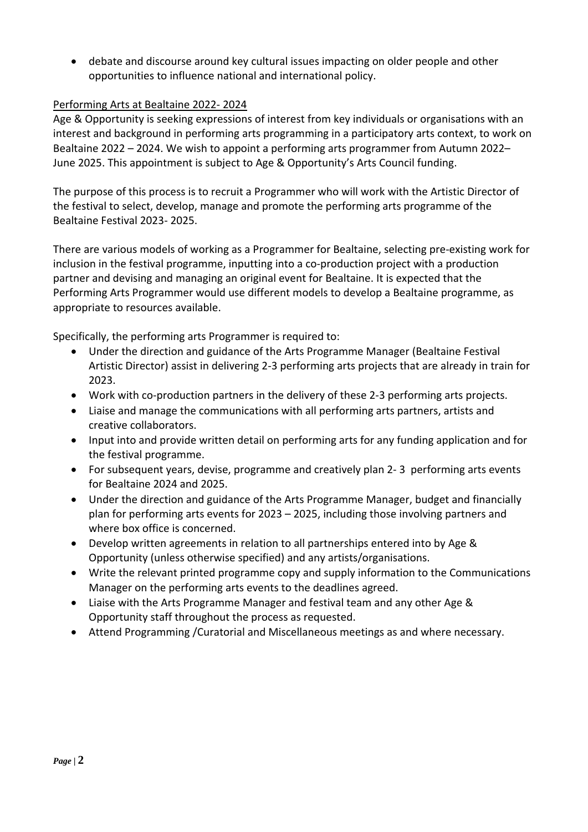debate and discourse around key cultural issues impacting on older people and other opportunities to influence national and international policy.

# Performing Arts at Bealtaine 2022- 2024

Age & Opportunity is seeking expressions of interest from key individuals or organisations with an interest and background in performing arts programming in a participatory arts context, to work on Bealtaine 2022 – 2024. We wish to appoint a performing arts programmer from Autumn 2022– June 2025. This appointment is subject to Age & Opportunity's Arts Council funding.

The purpose of this process is to recruit a Programmer who will work with the Artistic Director of the festival to select, develop, manage and promote the performing arts programme of the Bealtaine Festival 2023- 2025.

There are various models of working as a Programmer for Bealtaine, selecting pre-existing work for inclusion in the festival programme, inputting into a co-production project with a production partner and devising and managing an original event for Bealtaine. It is expected that the Performing Arts Programmer would use different models to develop a Bealtaine programme, as appropriate to resources available.

Specifically, the performing arts Programmer is required to:

- Under the direction and guidance of the Arts Programme Manager (Bealtaine Festival Artistic Director) assist in delivering 2-3 performing arts projects that are already in train for 2023.
- Work with co-production partners in the delivery of these 2-3 performing arts projects.
- Liaise and manage the communications with all performing arts partners, artists and creative collaborators.
- Input into and provide written detail on performing arts for any funding application and for the festival programme.
- For subsequent years, devise, programme and creatively plan 2- 3 performing arts events for Bealtaine 2024 and 2025.
- Under the direction and guidance of the Arts Programme Manager, budget and financially plan for performing arts events for 2023 – 2025, including those involving partners and where box office is concerned.
- Develop written agreements in relation to all partnerships entered into by Age & Opportunity (unless otherwise specified) and any artists/organisations.
- Write the relevant printed programme copy and supply information to the Communications Manager on the performing arts events to the deadlines agreed.
- Liaise with the Arts Programme Manager and festival team and any other Age & Opportunity staff throughout the process as requested.
- Attend Programming /Curatorial and Miscellaneous meetings as and where necessary.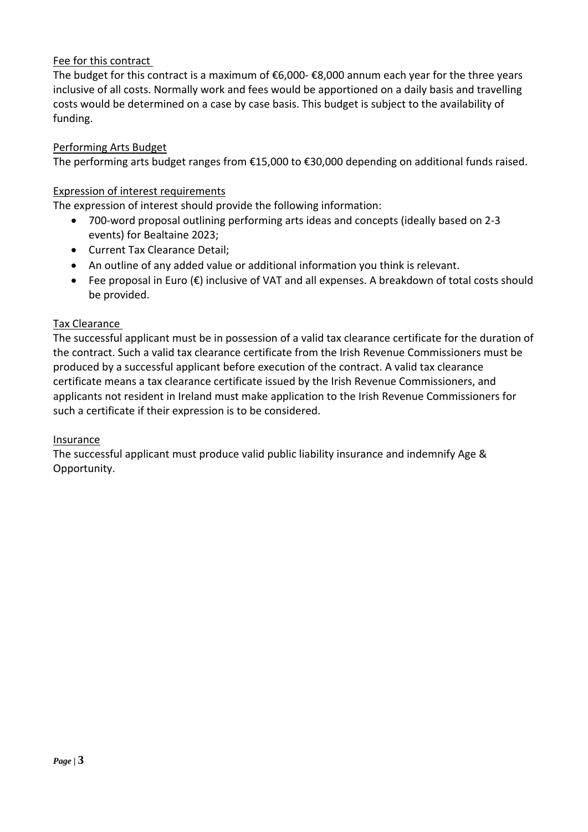# Fee for this contract

The budget for this contract is a maximum of €6,000- €8,000 annum each year for the three years inclusive of all costs. Normally work and fees would be apportioned on a daily basis and travelling costs would be determined on a case by case basis. This budget is subject to the availability of funding.

## Performing Arts Budget

The performing arts budget ranges from €15,000 to €30,000 depending on additional funds raised.

## Expression of interest requirements

The expression of interest should provide the following information:

- 700-word proposal outlining performing arts ideas and concepts (ideally based on 2-3 events) for Bealtaine 2023;
- Current Tax Clearance Detail;
- An outline of any added value or additional information you think is relevant.
- Fee proposal in Euro (€) inclusive of VAT and all expenses. A breakdown of total costs should be provided.

#### Tax Clearance

The successful applicant must be in possession of a valid tax clearance certificate for the duration of the contract. Such a valid tax clearance certificate from the Irish Revenue Commissioners must be produced by a successful applicant before execution of the contract. A valid tax clearance certificate means a tax clearance certificate issued by the Irish Revenue Commissioners, and applicants not resident in Ireland must make application to the Irish Revenue Commissioners for such a certificate if their expression is to be considered.

#### Insurance

The successful applicant must produce valid public liability insurance and indemnify Age & Opportunity.